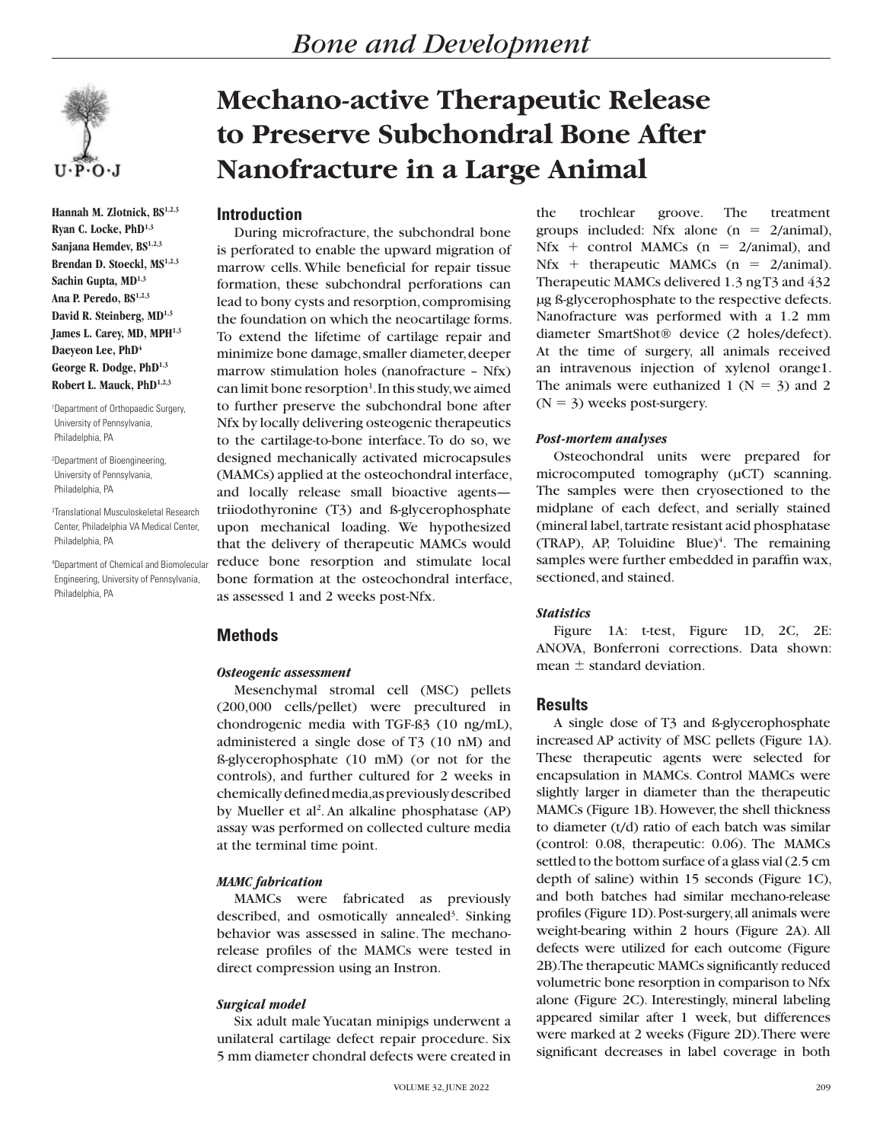

**Hannah M. Zlotnick, BS1,2,3 Ryan C. Locke, PhD1,3 Sanjana Hemdev, BS1,2,3 Brendan D. Stoeckl, MS1,2,3 Sachin Gupta, MD1,3 Ana P. Peredo, BS1,2,3** David R. Steinberg, MD<sup>1,3</sup> James L. Carey, MD, MPH<sup>1,3</sup> Daeyeon Lee, PhD<sup>4</sup> **George R. Dodge, PhD1,3 Robert L. Mauck, PhD1,2,3**

1 Department of Orthopaedic Surgery, University of Pennsylvania, Philadelphia, PA

2 Department of Bioengineering, University of Pennsylvania, Philadelphia, PA

3 Translational Musculoskeletal Research Center, Philadelphia VA Medical Center, Philadelphia, PA

4 Department of Chemical and Biomolecular Engineering, University of Pennsylvania, Philadelphia, PA

# **Mechano-active Therapeutic Release to Preserve Subchondral Bone After Nanofracture in a Large Animal**

# **Introduction**

During microfracture, the subchondral bone is perforated to enable the upward migration of marrow cells. While beneficial for repair tissue formation, these subchondral perforations can lead to bony cysts and resorption, compromising the foundation on which the neocartilage forms. To extend the lifetime of cartilage repair and minimize bone damage, smaller diameter, deeper marrow stimulation holes (nanofracture – Nfx) can limit bone resorption<sup>1</sup>. In this study, we aimed to further preserve the subchondral bone after Nfx by locally delivering osteogenic therapeutics to the cartilage-to-bone interface. To do so, we designed mechanically activated microcapsules (MAMCs) applied at the osteochondral interface, and locally release small bioactive agents triiodothyronine (T3) and ß-glycerophosphate upon mechanical loading. We hypothesized that the delivery of therapeutic MAMCs would reduce bone resorption and stimulate local bone formation at the osteochondral interface, as assessed 1 and 2 weeks post-Nfx.

# **Methods**

## *Osteogenic assessment*

Mesenchymal stromal cell (MSC) pellets (200,000 cells/pellet) were precultured in chondrogenic media with TGF-ß3 (10 ng/mL), administered a single dose of T3 (10 nM) and ß-glycerophosphate (10 mM) (or not for the controls), and further cultured for 2 weeks in chemically defined media, as previously described by Mueller et al<sup>2</sup>. An alkaline phosphatase (AP) assay was performed on collected culture media at the terminal time point.

## *MAMC fabrication*

MAMCs were fabricated as previously described, and osmotically annealed<sup>3</sup>. Sinking behavior was assessed in saline. The mechanorelease profiles of the MAMCs were tested in direct compression using an Instron.

## *Surgical model*

Six adult male Yucatan minipigs underwent a unilateral cartilage defect repair procedure. Six 5 mm diameter chondral defects were created in

the trochlear groove. The treatment groups included: Nfx alone  $(n = 2/animal)$ ,  $Nfx + control MAMCs (n = 2/animal)$ , and  $Nfx + therapeutic MAMCs (n = 2/animal).$ Therapeutic MAMCs delivered 1.3 ng T3 and 432 µg ß-glycerophosphate to the respective defects. Nanofracture was performed with a 1.2 mm diameter SmartShot® device (2 holes/defect). At the time of surgery, all animals received an intravenous injection of xylenol orange1. The animals were euthanized 1 ( $N = 3$ ) and 2  $(N = 3)$  weeks post-surgery.

### *Post-mortem analyses*

Osteochondral units were prepared for microcomputed tomography ( $\mu$ CT) scanning. The samples were then cryosectioned to the midplane of each defect, and serially stained (mineral label, tartrate resistant acid phosphatase  $(TRAP)$ , AP, Toluidine Blue)<sup>4</sup>. The remaining samples were further embedded in paraffin wax, sectioned, and stained.

#### *Statistics*

Figure 1A: t-test, Figure 1D, 2C, 2E: ANOVA, Bonferroni corrections. Data shown: mean  $\pm$  standard deviation.

## **Results**

A single dose of T3 and ß-glycerophosphate increased AP activity of MSC pellets (Figure 1A). These therapeutic agents were selected for encapsulation in MAMCs. Control MAMCs were slightly larger in diameter than the therapeutic MAMCs (Figure 1B). However, the shell thickness to diameter (t/d) ratio of each batch was similar (control: 0.08, therapeutic: 0.06). The MAMCs settled to the bottom surface of a glass vial (2.5 cm depth of saline) within 15 seconds (Figure 1C), and both batches had similar mechano-release profiles (Figure 1D). Post-surgery, all animals were weight-bearing within 2 hours (Figure 2A). All defects were utilized for each outcome (Figure 2B). The therapeutic MAMCs significantly reduced volumetric bone resorption in comparison to Nfx alone (Figure 2C). Interestingly, mineral labeling appeared similar after 1 week, but differences were marked at 2 weeks (Figure 2D). There were significant decreases in label coverage in both